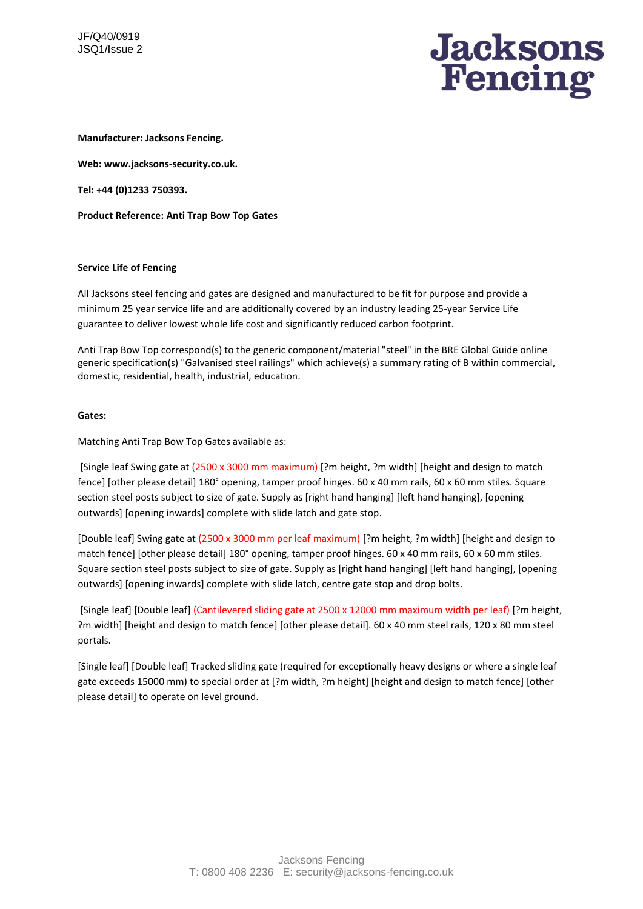

**Manufacturer: Jacksons Fencing.** 

**Web: www.jacksons-security.co.uk.** 

**Tel: +44 (0)1233 750393.** 

**Product Reference: Anti Trap Bow Top Gates**

### **Service Life of Fencing**

All Jacksons steel fencing and gates are designed and manufactured to be fit for purpose and provide a minimum 25 year service life and are additionally covered by an industry leading 25-year Service Life guarantee to deliver lowest whole life cost and significantly reduced carbon footprint.

Anti Trap Bow Top correspond(s) to the generic component/material "steel" in the BRE Global Guide online generic specification(s) "Galvanised steel railings" which achieve(s) a summary rating of B within commercial, domestic, residential, health, industrial, education.

### **Gates:**

Matching Anti Trap Bow Top Gates available as:

[Single leaf Swing gate at (2500 x 3000 mm maximum) [?m height, ?m width] [height and design to match fence] [other please detail] 180° opening, tamper proof hinges. 60 x 40 mm rails, 60 x 60 mm stiles. Square section steel posts subject to size of gate. Supply as [right hand hanging] [left hand hanging], [opening outwards] [opening inwards] complete with slide latch and gate stop.

[Double leaf] Swing gate at (2500 x 3000 mm per leaf maximum) [?m height, ?m width] [height and design to match fence] [other please detail] 180° opening, tamper proof hinges. 60 x 40 mm rails, 60 x 60 mm stiles. Square section steel posts subject to size of gate. Supply as [right hand hanging] [left hand hanging], [opening outwards] [opening inwards] complete with slide latch, centre gate stop and drop bolts.

[Single leaf] [Double leaf] (Cantilevered sliding gate at 2500 x 12000 mm maximum width per leaf) [?m height, ?m width] [height and design to match fence] [other please detail]. 60 x 40 mm steel rails, 120 x 80 mm steel portals.

[Single leaf] [Double leaf] Tracked sliding gate (required for exceptionally heavy designs or where a single leaf gate exceeds 15000 mm) to special order at [?m width, ?m height] [height and design to match fence] [other please detail] to operate on level ground.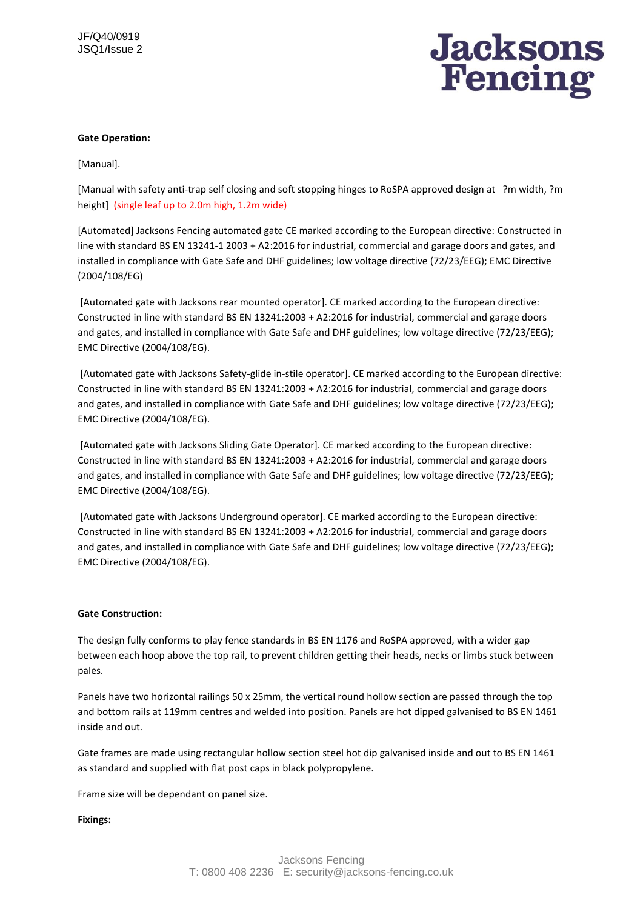

# **Gate Operation:**

[Manual].

[Manual with safety anti-trap self closing and soft stopping hinges to RoSPA approved design at ?m width, ?m height] (single leaf up to 2.0m high, 1.2m wide)

[Automated] Jacksons Fencing automated gate CE marked according to the European directive: Constructed in line with standard BS EN 13241-1 2003 + A2:2016 for industrial, commercial and garage doors and gates, and installed in compliance with Gate Safe and DHF guidelines; low voltage directive (72/23/EEG); EMC Directive (2004/108/EG)

[Automated gate with Jacksons rear mounted operator]. CE marked according to the European directive: Constructed in line with standard BS EN 13241:2003 + A2:2016 for industrial, commercial and garage doors and gates, and installed in compliance with Gate Safe and DHF guidelines; low voltage directive (72/23/EEG); EMC Directive (2004/108/EG).

[Automated gate with Jacksons Safety-glide in-stile operator]. CE marked according to the European directive: Constructed in line with standard BS EN 13241:2003 + A2:2016 for industrial, commercial and garage doors and gates, and installed in compliance with Gate Safe and DHF guidelines; low voltage directive (72/23/EEG); EMC Directive (2004/108/EG).

[Automated gate with Jacksons Sliding Gate Operator]. CE marked according to the European directive: Constructed in line with standard BS EN 13241:2003 + A2:2016 for industrial, commercial and garage doors and gates, and installed in compliance with Gate Safe and DHF guidelines; low voltage directive (72/23/EEG); EMC Directive (2004/108/EG).

[Automated gate with Jacksons Underground operator]. CE marked according to the European directive: Constructed in line with standard BS EN 13241:2003 + A2:2016 for industrial, commercial and garage doors and gates, and installed in compliance with Gate Safe and DHF guidelines; low voltage directive (72/23/EEG); EMC Directive (2004/108/EG).

# **Gate Construction:**

The design fully conforms to play fence standards in BS EN 1176 and RoSPA approved, with a wider gap between each hoop above the top rail, to prevent children getting their heads, necks or limbs stuck between pales.

Panels have two horizontal railings 50 x 25mm, the vertical round hollow section are passed through the top and bottom rails at 119mm centres and welded into position. Panels are hot dipped galvanised to BS EN 1461 inside and out.

Gate frames are made using rectangular hollow section steel hot dip galvanised inside and out to BS EN 1461 as standard and supplied with flat post caps in black polypropylene.

Frame size will be dependant on panel size.

# **Fixings:**